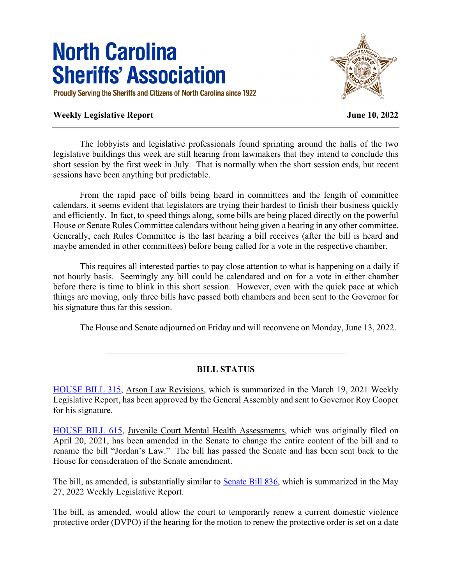## **North Carolina Sheriffs' Association**

Proudly Serving the Sheriffs and Citizens of North Carolina since 1922

## **Weekly Legislative Report June 10, 2022**



The lobbyists and legislative professionals found sprinting around the halls of the two legislative buildings this week are still hearing from lawmakers that they intend to conclude this short session by the first week in July. That is normally when the short session ends, but recent sessions have been anything but predictable.

From the rapid pace of bills being heard in committees and the length of committee calendars, it seems evident that legislators are trying their hardest to finish their business quickly and efficiently. In fact, to speed things along, some bills are being placed directly on the powerful House or Senate Rules Committee calendars without being given a hearing in any other committee. Generally, each Rules Committee is the last hearing a bill receives (after the bill is heard and maybe amended in other committees) before being called for a vote in the respective chamber.

 This requires all interested parties to pay close attention to what is happening on a daily if not hourly basis. Seemingly any bill could be calendared and on for a vote in either chamber before there is time to blink in this short session. However, even with the quick pace at which things are moving, only three bills have passed both chambers and been sent to the Governor for his signature thus far this session.

The House and Senate adjourned on Friday and will reconvene on Monday, June 13, 2022.

## **BILL STATUS**

[HOUSE BILL 315,](https://www.ncleg.gov/BillLookUp/2021/HB315) Arson Law Revisions, which is summarized in the March 19, 2021 Weekly Legislative Report, has been approved by the General Assembly and sent to Governor Roy Cooper for his signature.

[HOUSE BILL 615,](https://www.ncleg.gov/BillLookUp/2021/HB615) Juvenile Court Mental Health Assessments, which was originally filed on April 20, 2021, has been amended in the Senate to change the entire content of the bill and to rename the bill "Jordan's Law." The bill has passed the Senate and has been sent back to the House for consideration of the Senate amendment.

The bill, as amended, is substantially similar to **Senate Bill 836**, which is summarized in the May 27, 2022 Weekly Legislative Report.

The bill, as amended, would allow the court to temporarily renew a current domestic violence protective order (DVPO) if the hearing for the motion to renew the protective order is set on a date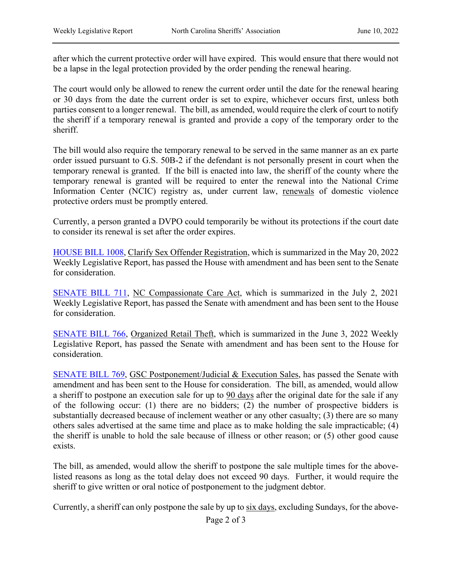after which the current protective order will have expired. This would ensure that there would not be a lapse in the legal protection provided by the order pending the renewal hearing.

The court would only be allowed to renew the current order until the date for the renewal hearing or 30 days from the date the current order is set to expire, whichever occurs first, unless both parties consent to a longer renewal. The bill, as amended, would require the clerk of court to notify the sheriff if a temporary renewal is granted and provide a copy of the temporary order to the sheriff.

The bill would also require the temporary renewal to be served in the same manner as an ex parte order issued pursuant to G.S. 50B-2 if the defendant is not personally present in court when the temporary renewal is granted. If the bill is enacted into law, the sheriff of the county where the temporary renewal is granted will be required to enter the renewal into the National Crime Information Center (NCIC) registry as, under current law, renewals of domestic violence protective orders must be promptly entered.

Currently, a person granted a DVPO could temporarily be without its protections if the court date to consider its renewal is set after the order expires.

[HOUSE BILL 1008,](https://www.ncleg.gov/BillLookUp/2021/HB1008) Clarify Sex Offender Registration, which is summarized in the May 20, 2022 Weekly Legislative Report, has passed the House with amendment and has been sent to the Senate for consideration.

[SENATE BILL 711,](https://www.ncleg.gov/BillLookUp/2021/SB711) NC Compassionate Care Act, which is summarized in the July 2, 2021 Weekly Legislative Report, has passed the Senate with amendment and has been sent to the House for consideration.

[SENATE BILL 766,](https://www.ncleg.gov/BillLookUp/2021/SB766) Organized Retail Theft, which is summarized in the June 3, 2022 Weekly Legislative Report, has passed the Senate with amendment and has been sent to the House for consideration.

[SENATE BILL 769,](https://www.ncleg.gov/BillLookUp/2021/SB769) GSC Postponement/Judicial & Execution Sales, has passed the Senate with amendment and has been sent to the House for consideration. The bill, as amended, would allow a sheriff to postpone an execution sale for up to 90 days after the original date for the sale if any of the following occur: (1) there are no bidders; (2) the number of prospective bidders is substantially decreased because of inclement weather or any other casualty; (3) there are so many others sales advertised at the same time and place as to make holding the sale impracticable; (4) the sheriff is unable to hold the sale because of illness or other reason; or (5) other good cause exists.

The bill, as amended, would allow the sheriff to postpone the sale multiple times for the abovelisted reasons as long as the total delay does not exceed 90 days. Further, it would require the sheriff to give written or oral notice of postponement to the judgment debtor.

Currently, a sheriff can only postpone the sale by up to six days, excluding Sundays, for the above-